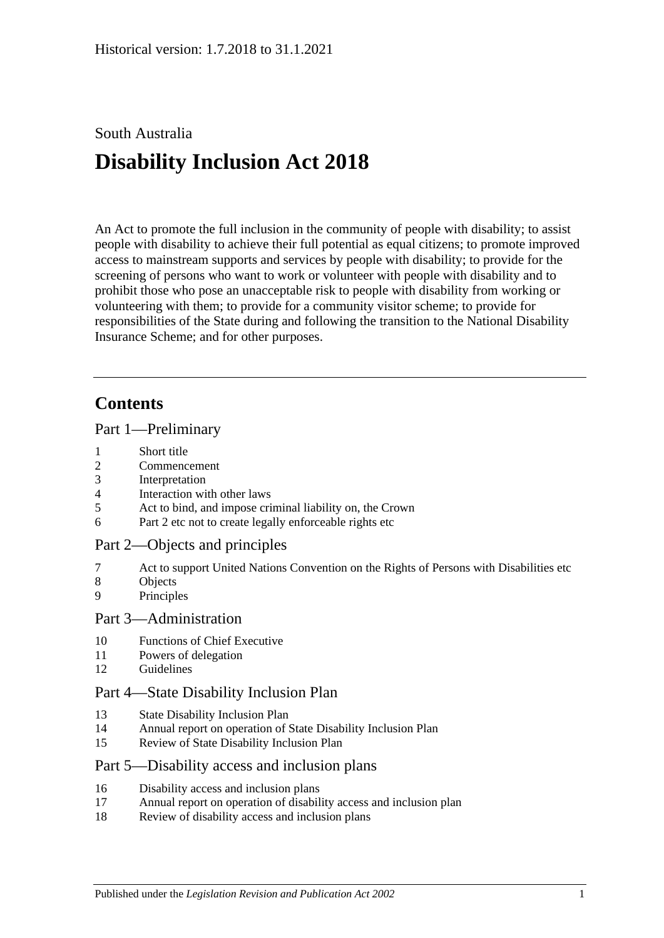# South Australia **Disability Inclusion Act 2018**

An Act to promote the full inclusion in the community of people with disability; to assist people with disability to achieve their full potential as equal citizens; to promote improved access to mainstream supports and services by people with disability; to provide for the screening of persons who want to work or volunteer with people with disability and to prohibit those who pose an unacceptable risk to people with disability from working or volunteering with them; to provide for a community visitor scheme; to provide for responsibilities of the State during and following the transition to the National Disability Insurance Scheme; and for other purposes.

## **Contents**

### Part [1—Preliminary](#page-2-0)

- 1 [Short title](#page-2-1)
- 2 [Commencement](#page-2-2)
- 3 [Interpretation](#page-2-3)
- 4 [Interaction with other laws](#page-3-0)
- 5 [Act to bind, and impose criminal liability on, the Crown](#page-3-1)
- 6 [Part](#page-3-2) 2 [etc not to create legally enforceable rights etc](#page-3-2)

## Part [2—Objects and principles](#page-3-3)

- 7 [Act to support United Nations Convention on the Rights of Persons with Disabilities etc](#page-3-4)
- 8 [Objects](#page-3-5)
- 9 [Principles](#page-4-0)

### Part [3—Administration](#page-6-0)

- 10 [Functions of Chief Executive](#page-6-1)
- 11 [Powers of delegation](#page-7-0)
- 12 [Guidelines](#page-7-1)

### Part [4—State Disability Inclusion Plan](#page-7-2)

- 13 [State Disability Inclusion Plan](#page-7-3)
- 14 [Annual report on operation of State Disability Inclusion Plan](#page-8-0)
- 15 [Review of State Disability Inclusion Plan](#page-9-0)

### Part [5—Disability access and inclusion plans](#page-9-1)

- 16 [Disability access and inclusion plans](#page-9-2)
- 17 [Annual report on operation of disability access and inclusion plan](#page-10-0)
- 18 [Review of disability access and inclusion plans](#page-10-1)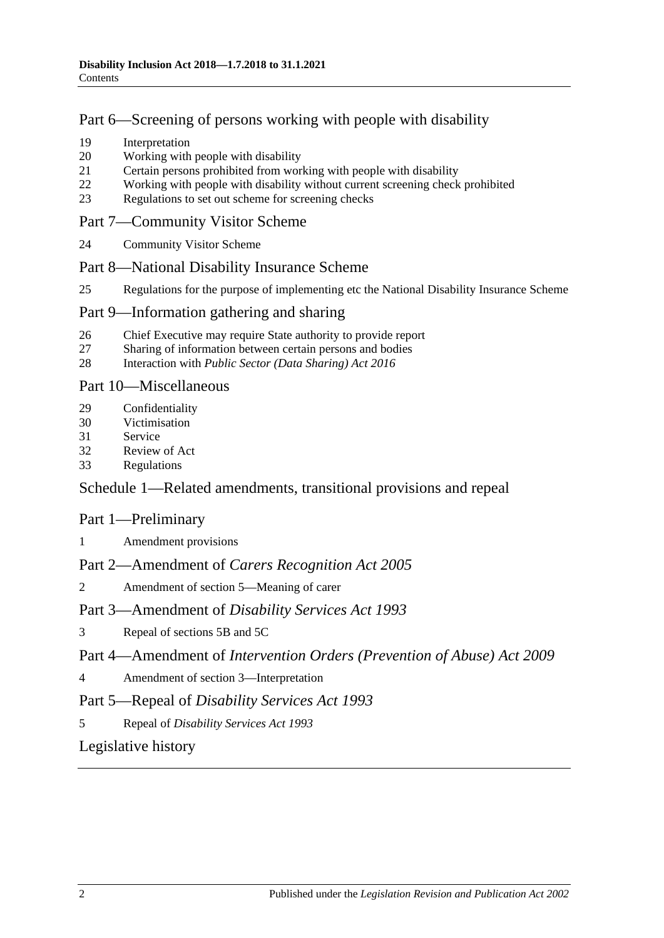## Part [6—Screening of persons working with people with disability](#page-10-2)

- 19 [Interpretation](#page-10-3)
- 20 [Working with people with disability](#page-11-0)
- 21 [Certain persons prohibited from working with people with disability](#page-11-1)
- 22 Working [with people with disability without current screening check prohibited](#page-12-0)
- 23 [Regulations to set out scheme for screening checks](#page-12-1)

### Part [7—Community Visitor Scheme](#page-13-0)

24 [Community Visitor Scheme](#page-13-1)

### Part [8—National Disability Insurance Scheme](#page-13-2)

25 [Regulations for the purpose of implementing etc the National Disability Insurance Scheme](#page-13-3)

### Part [9—Information gathering and sharing](#page-14-0)

- 26 [Chief Executive may require State authority to provide report](#page-14-1)<br>27 Sharing of information between certain persons and bodies
- [Sharing of information between certain persons and bodies](#page-14-2)
- 28 Interaction with *[Public Sector \(Data Sharing\) Act](#page-15-0) 2016*

### Part [10—Miscellaneous](#page-15-1)

- 29 [Confidentiality](#page-15-2)
- 30 [Victimisation](#page-16-0)
- 31 [Service](#page-17-0)
- 32 [Review of Act](#page-17-1)
- 33 [Regulations](#page-17-2)

## Schedule [1—Related amendments, transitional provisions and repeal](#page-18-0)

## Part 1—Preliminary

1 [Amendment provisions](#page-18-1)

## Part 2—Amendment of *Carers Recognition Act 2005*

2 [Amendment of section 5—Meaning of carer](#page-18-2)

## Part 3—Amendment of *Disability Services Act 1993*

3 [Repeal of sections 5B and 5C](#page-18-3)

## Part 4—Amendment of *Intervention Orders (Prevention of Abuse) Act 2009*

4 [Amendment of section 3—Interpretation](#page-19-0)

## Part 5—Repeal of *Disability Services Act 1993*

5 Repeal of *[Disability Services Act](#page-19-1) 1993*

## [Legislative history](#page-20-0)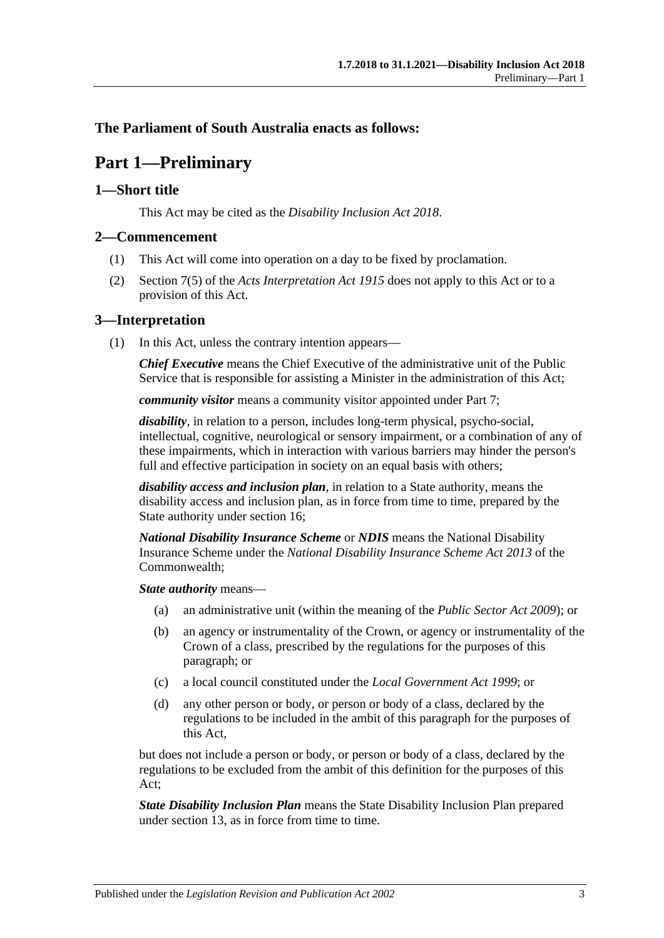### <span id="page-2-0"></span>**The Parliament of South Australia enacts as follows:**

## **Part 1—Preliminary**

### <span id="page-2-1"></span>**1—Short title**

This Act may be cited as the *Disability Inclusion Act 2018*.

### <span id="page-2-2"></span>**2—Commencement**

- (1) This Act will come into operation on a day to be fixed by proclamation.
- (2) Section 7(5) of the *[Acts Interpretation Act](http://www.legislation.sa.gov.au/index.aspx?action=legref&type=act&legtitle=Acts%20Interpretation%20Act%201915) 1915* does not apply to this Act or to a provision of this Act.

### <span id="page-2-3"></span>**3—Interpretation**

(1) In this Act, unless the contrary intention appears—

*Chief Executive* means the Chief Executive of the administrative unit of the Public Service that is responsible for assisting a Minister in the administration of this Act;

*community visitor* means a community visitor appointed under [Part](#page-13-0) 7;

*disability*, in relation to a person, includes long-term physical, psycho-social, intellectual, cognitive, neurological or sensory impairment, or a combination of any of these impairments, which in interaction with various barriers may hinder the person's full and effective participation in society on an equal basis with others;

*disability access and inclusion plan*, in relation to a State authority, means the disability access and inclusion plan, as in force from time to time, prepared by the State authority under [section](#page-9-2) 16;

*National Disability Insurance Scheme* or *NDIS* means the National Disability Insurance Scheme under the *National Disability Insurance Scheme Act 2013* of the Commonwealth;

*State authority* means—

- (a) an administrative unit (within the meaning of the *[Public Sector Act](http://www.legislation.sa.gov.au/index.aspx?action=legref&type=act&legtitle=Public%20Sector%20Act%202009) 2009*); or
- (b) an agency or instrumentality of the Crown, or agency or instrumentality of the Crown of a class, prescribed by the regulations for the purposes of this paragraph; or
- (c) a local council constituted under the *[Local Government Act](http://www.legislation.sa.gov.au/index.aspx?action=legref&type=act&legtitle=Local%20Government%20Act%201999) 1999*; or
- (d) any other person or body, or person or body of a class, declared by the regulations to be included in the ambit of this paragraph for the purposes of this Act,

but does not include a person or body, or person or body of a class, declared by the regulations to be excluded from the ambit of this definition for the purposes of this Act;

*State Disability Inclusion Plan* means the State Disability Inclusion Plan prepared under [section](#page-7-3) 13, as in force from time to time.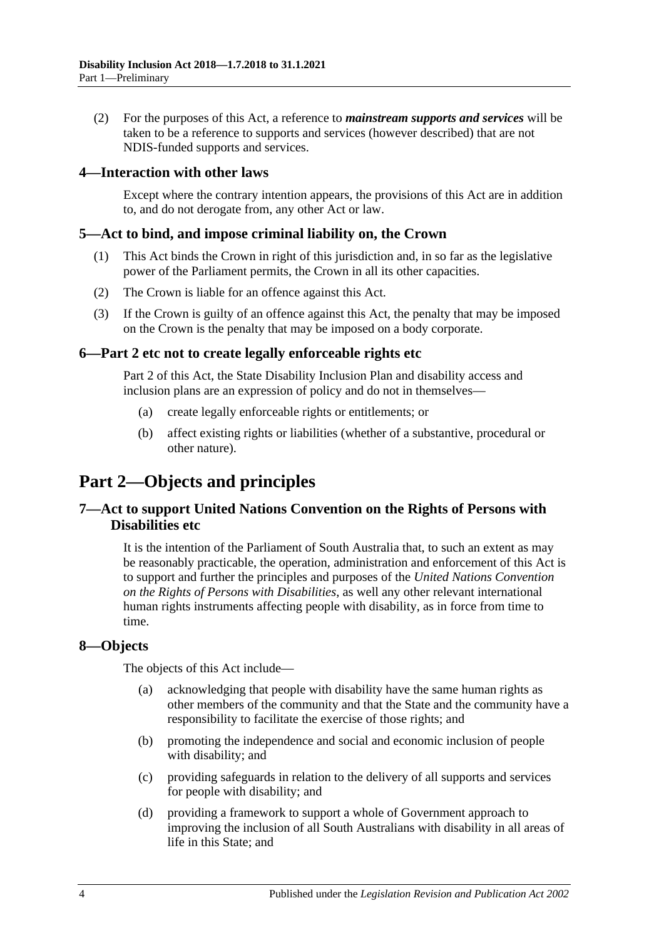(2) For the purposes of this Act, a reference to *mainstream supports and services* will be taken to be a reference to supports and services (however described) that are not NDIS-funded supports and services.

### <span id="page-3-0"></span>**4—Interaction with other laws**

Except where the contrary intention appears, the provisions of this Act are in addition to, and do not derogate from, any other Act or law.

### <span id="page-3-1"></span>**5—Act to bind, and impose criminal liability on, the Crown**

- (1) This Act binds the Crown in right of this jurisdiction and, in so far as the legislative power of the Parliament permits, the Crown in all its other capacities.
- (2) The Crown is liable for an offence against this Act.
- (3) If the Crown is guilty of an offence against this Act, the penalty that may be imposed on the Crown is the penalty that may be imposed on a body corporate.

### <span id="page-3-2"></span>**6[—Part](#page-3-3) 2 etc not to create legally enforceable rights etc**

[Part](#page-3-3) 2 of this Act, the State Disability Inclusion Plan and disability access and inclusion plans are an expression of policy and do not in themselves—

- (a) create legally enforceable rights or entitlements; or
- (b) affect existing rights or liabilities (whether of a substantive, procedural or other nature).

## <span id="page-3-3"></span>**Part 2—Objects and principles**

### <span id="page-3-4"></span>**7—Act to support United Nations Convention on the Rights of Persons with Disabilities etc**

It is the intention of the Parliament of South Australia that, to such an extent as may be reasonably practicable, the operation, administration and enforcement of this Act is to support and further the principles and purposes of the *United Nations Convention on the Rights of Persons with Disabilities*, as well any other relevant international human rights instruments affecting people with disability, as in force from time to time.

#### <span id="page-3-5"></span>**8—Objects**

The objects of this Act include—

- (a) acknowledging that people with disability have the same human rights as other members of the community and that the State and the community have a responsibility to facilitate the exercise of those rights; and
- (b) promoting the independence and social and economic inclusion of people with disability; and
- (c) providing safeguards in relation to the delivery of all supports and services for people with disability; and
- (d) providing a framework to support a whole of Government approach to improving the inclusion of all South Australians with disability in all areas of life in this State; and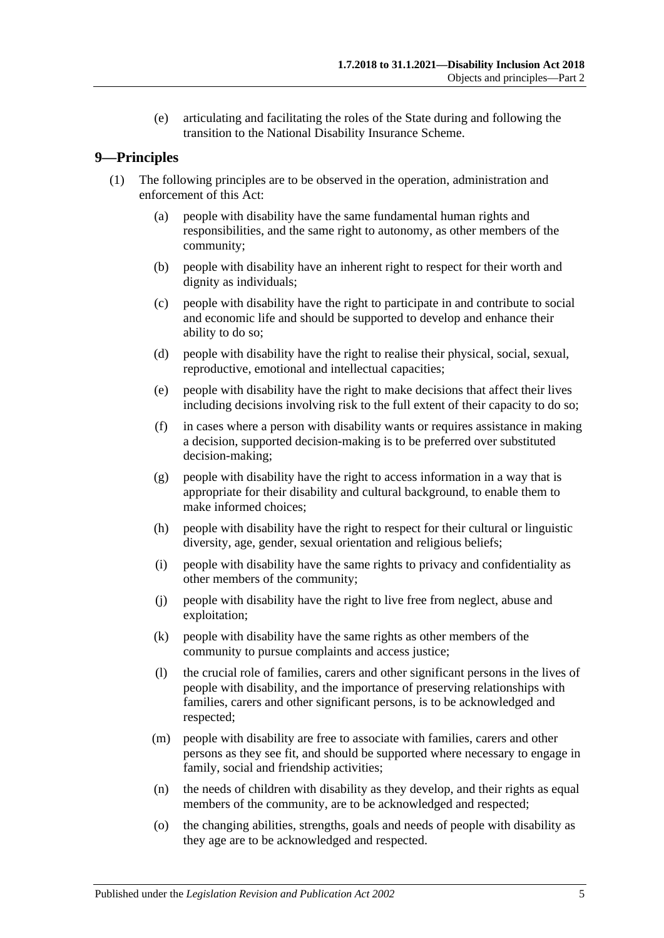(e) articulating and facilitating the roles of the State during and following the transition to the National Disability Insurance Scheme.

### <span id="page-4-0"></span>**9—Principles**

- (1) The following principles are to be observed in the operation, administration and enforcement of this Act:
	- (a) people with disability have the same fundamental human rights and responsibilities, and the same right to autonomy, as other members of the community;
	- (b) people with disability have an inherent right to respect for their worth and dignity as individuals;
	- (c) people with disability have the right to participate in and contribute to social and economic life and should be supported to develop and enhance their ability to do so;
	- (d) people with disability have the right to realise their physical, social, sexual, reproductive, emotional and intellectual capacities;
	- (e) people with disability have the right to make decisions that affect their lives including decisions involving risk to the full extent of their capacity to do so;
	- (f) in cases where a person with disability wants or requires assistance in making a decision, supported decision-making is to be preferred over substituted decision-making;
	- (g) people with disability have the right to access information in a way that is appropriate for their disability and cultural background, to enable them to make informed choices;
	- (h) people with disability have the right to respect for their cultural or linguistic diversity, age, gender, sexual orientation and religious beliefs;
	- (i) people with disability have the same rights to privacy and confidentiality as other members of the community;
	- (j) people with disability have the right to live free from neglect, abuse and exploitation;
	- (k) people with disability have the same rights as other members of the community to pursue complaints and access justice;
	- (l) the crucial role of families, carers and other significant persons in the lives of people with disability, and the importance of preserving relationships with families, carers and other significant persons, is to be acknowledged and respected;
	- (m) people with disability are free to associate with families, carers and other persons as they see fit, and should be supported where necessary to engage in family, social and friendship activities;
	- (n) the needs of children with disability as they develop, and their rights as equal members of the community, are to be acknowledged and respected;
	- (o) the changing abilities, strengths, goals and needs of people with disability as they age are to be acknowledged and respected.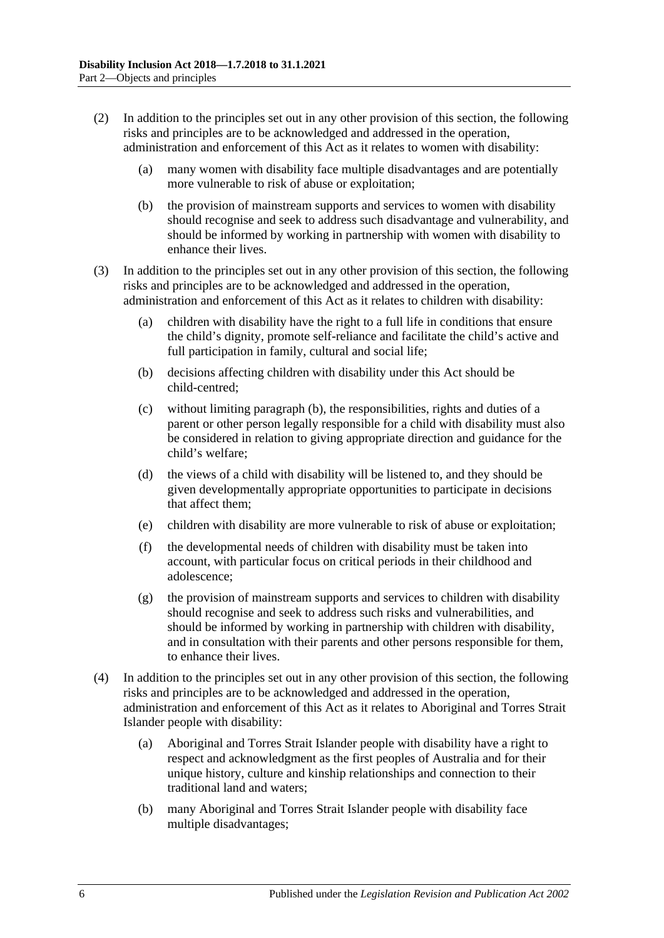- (2) In addition to the principles set out in any other provision of this section, the following risks and principles are to be acknowledged and addressed in the operation, administration and enforcement of this Act as it relates to women with disability:
	- (a) many women with disability face multiple disadvantages and are potentially more vulnerable to risk of abuse or exploitation;
	- (b) the provision of mainstream supports and services to women with disability should recognise and seek to address such disadvantage and vulnerability, and should be informed by working in partnership with women with disability to enhance their lives.
- <span id="page-5-0"></span>(3) In addition to the principles set out in any other provision of this section, the following risks and principles are to be acknowledged and addressed in the operation, administration and enforcement of this Act as it relates to children with disability:
	- (a) children with disability have the right to a full life in conditions that ensure the child's dignity, promote self-reliance and facilitate the child's active and full participation in family, cultural and social life;
	- (b) decisions affecting children with disability under this Act should be child-centred;
	- (c) without limiting [paragraph](#page-5-0) (b), the responsibilities, rights and duties of a parent or other person legally responsible for a child with disability must also be considered in relation to giving appropriate direction and guidance for the child's welfare;
	- (d) the views of a child with disability will be listened to, and they should be given developmentally appropriate opportunities to participate in decisions that affect them;
	- (e) children with disability are more vulnerable to risk of abuse or exploitation;
	- (f) the developmental needs of children with disability must be taken into account, with particular focus on critical periods in their childhood and adolescence;
	- (g) the provision of mainstream supports and services to children with disability should recognise and seek to address such risks and vulnerabilities, and should be informed by working in partnership with children with disability, and in consultation with their parents and other persons responsible for them, to enhance their lives.
- (4) In addition to the principles set out in any other provision of this section, the following risks and principles are to be acknowledged and addressed in the operation, administration and enforcement of this Act as it relates to Aboriginal and Torres Strait Islander people with disability:
	- (a) Aboriginal and Torres Strait Islander people with disability have a right to respect and acknowledgment as the first peoples of Australia and for their unique history, culture and kinship relationships and connection to their traditional land and waters;
	- (b) many Aboriginal and Torres Strait Islander people with disability face multiple disadvantages;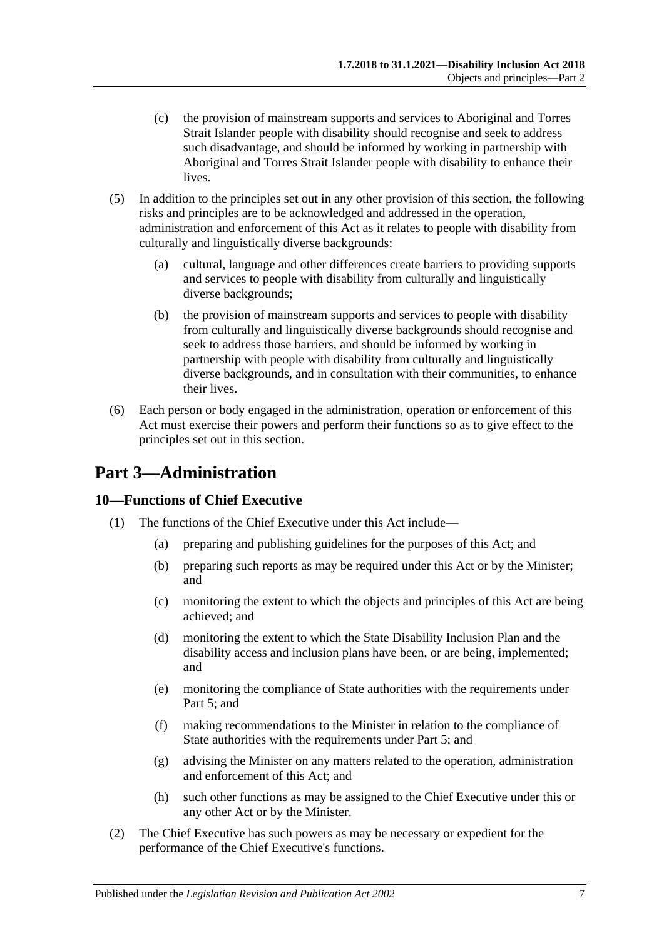- (c) the provision of mainstream supports and services to Aboriginal and Torres Strait Islander people with disability should recognise and seek to address such disadvantage, and should be informed by working in partnership with Aboriginal and Torres Strait Islander people with disability to enhance their lives.
- (5) In addition to the principles set out in any other provision of this section, the following risks and principles are to be acknowledged and addressed in the operation, administration and enforcement of this Act as it relates to people with disability from culturally and linguistically diverse backgrounds:
	- (a) cultural, language and other differences create barriers to providing supports and services to people with disability from culturally and linguistically diverse backgrounds;
	- (b) the provision of mainstream supports and services to people with disability from culturally and linguistically diverse backgrounds should recognise and seek to address those barriers, and should be informed by working in partnership with people with disability from culturally and linguistically diverse backgrounds, and in consultation with their communities, to enhance their lives.
- (6) Each person or body engaged in the administration, operation or enforcement of this Act must exercise their powers and perform their functions so as to give effect to the principles set out in this section.

## <span id="page-6-0"></span>**Part 3—Administration**

## <span id="page-6-1"></span>**10—Functions of Chief Executive**

- (1) The functions of the Chief Executive under this Act include—
	- (a) preparing and publishing guidelines for the purposes of this Act; and
	- (b) preparing such reports as may be required under this Act or by the Minister; and
	- (c) monitoring the extent to which the objects and principles of this Act are being achieved; and
	- (d) monitoring the extent to which the State Disability Inclusion Plan and the disability access and inclusion plans have been, or are being, implemented; and
	- (e) monitoring the compliance of State authorities with the requirements under [Part](#page-9-1) 5; and
	- (f) making recommendations to the Minister in relation to the compliance of State authorities with the requirements under [Part](#page-9-1) 5; and
	- (g) advising the Minister on any matters related to the operation, administration and enforcement of this Act; and
	- (h) such other functions as may be assigned to the Chief Executive under this or any other Act or by the Minister.
- (2) The Chief Executive has such powers as may be necessary or expedient for the performance of the Chief Executive's functions.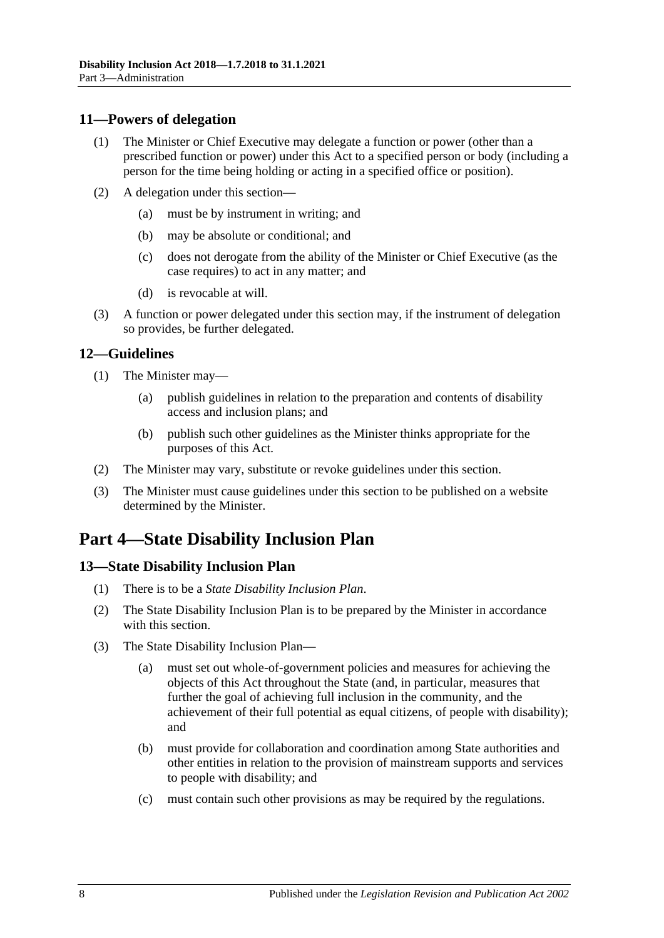### <span id="page-7-0"></span>**11—Powers of delegation**

- (1) The Minister or Chief Executive may delegate a function or power (other than a prescribed function or power) under this Act to a specified person or body (including a person for the time being holding or acting in a specified office or position).
- (2) A delegation under this section—
	- (a) must be by instrument in writing; and
	- (b) may be absolute or conditional; and
	- (c) does not derogate from the ability of the Minister or Chief Executive (as the case requires) to act in any matter; and
	- (d) is revocable at will.
- (3) A function or power delegated under this section may, if the instrument of delegation so provides, be further delegated.

### <span id="page-7-1"></span>**12—Guidelines**

- <span id="page-7-4"></span>(1) The Minister may—
	- (a) publish guidelines in relation to the preparation and contents of disability access and inclusion plans; and
	- (b) publish such other guidelines as the Minister thinks appropriate for the purposes of this Act.
- (2) The Minister may vary, substitute or revoke guidelines under this section.
- (3) The Minister must cause guidelines under this section to be published on a website determined by the Minister.

## <span id="page-7-2"></span>**Part 4—State Disability Inclusion Plan**

### <span id="page-7-3"></span>**13—State Disability Inclusion Plan**

- (1) There is to be a *State Disability Inclusion Plan*.
- (2) The State Disability Inclusion Plan is to be prepared by the Minister in accordance with this section.
- (3) The State Disability Inclusion Plan—
	- (a) must set out whole-of-government policies and measures for achieving the objects of this Act throughout the State (and, in particular, measures that further the goal of achieving full inclusion in the community, and the achievement of their full potential as equal citizens, of people with disability); and
	- (b) must provide for collaboration and coordination among State authorities and other entities in relation to the provision of mainstream supports and services to people with disability; and
	- (c) must contain such other provisions as may be required by the regulations.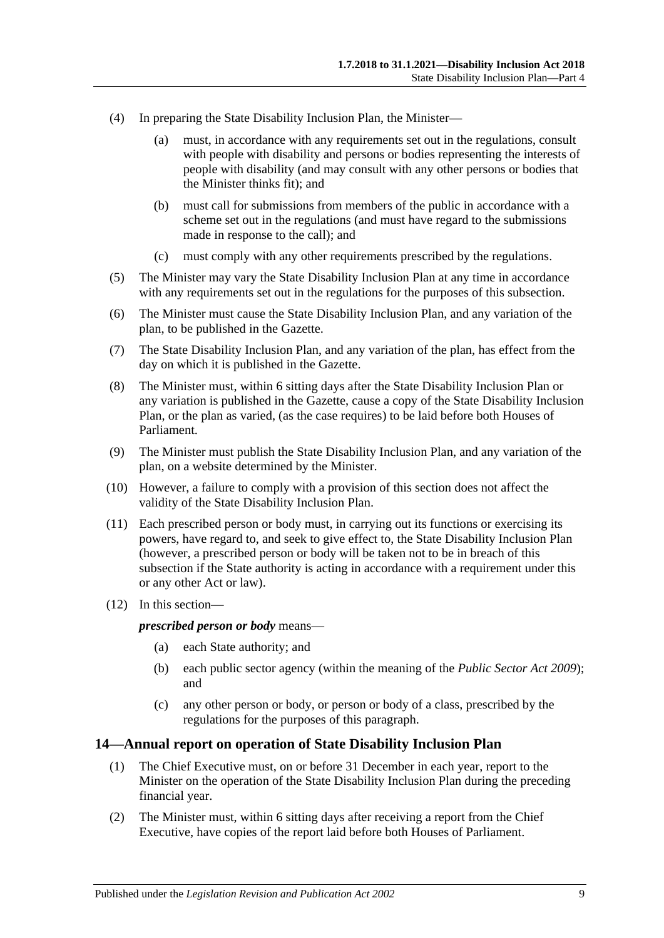- (4) In preparing the State Disability Inclusion Plan, the Minister—
	- (a) must, in accordance with any requirements set out in the regulations, consult with people with disability and persons or bodies representing the interests of people with disability (and may consult with any other persons or bodies that the Minister thinks fit); and
	- (b) must call for submissions from members of the public in accordance with a scheme set out in the regulations (and must have regard to the submissions made in response to the call); and
	- (c) must comply with any other requirements prescribed by the regulations.
- (5) The Minister may vary the State Disability Inclusion Plan at any time in accordance with any requirements set out in the regulations for the purposes of this subsection.
- (6) The Minister must cause the State Disability Inclusion Plan, and any variation of the plan, to be published in the Gazette.
- (7) The State Disability Inclusion Plan, and any variation of the plan, has effect from the day on which it is published in the Gazette.
- (8) The Minister must, within 6 sitting days after the State Disability Inclusion Plan or any variation is published in the Gazette, cause a copy of the State Disability Inclusion Plan, or the plan as varied, (as the case requires) to be laid before both Houses of Parliament.
- (9) The Minister must publish the State Disability Inclusion Plan, and any variation of the plan, on a website determined by the Minister.
- (10) However, a failure to comply with a provision of this section does not affect the validity of the State Disability Inclusion Plan.
- (11) Each prescribed person or body must, in carrying out its functions or exercising its powers, have regard to, and seek to give effect to, the State Disability Inclusion Plan (however, a prescribed person or body will be taken not to be in breach of this subsection if the State authority is acting in accordance with a requirement under this or any other Act or law).
- (12) In this section—

*prescribed person or body* means—

- (a) each State authority; and
- (b) each public sector agency (within the meaning of the *[Public Sector Act](http://www.legislation.sa.gov.au/index.aspx?action=legref&type=act&legtitle=Public%20Sector%20Act%202009) 2009*); and
- (c) any other person or body, or person or body of a class, prescribed by the regulations for the purposes of this paragraph.

#### <span id="page-8-1"></span><span id="page-8-0"></span>**14—Annual report on operation of State Disability Inclusion Plan**

- (1) The Chief Executive must, on or before 31 December in each year, report to the Minister on the operation of the State Disability Inclusion Plan during the preceding financial year.
- (2) The Minister must, within 6 sitting days after receiving a report from the Chief Executive, have copies of the report laid before both Houses of Parliament.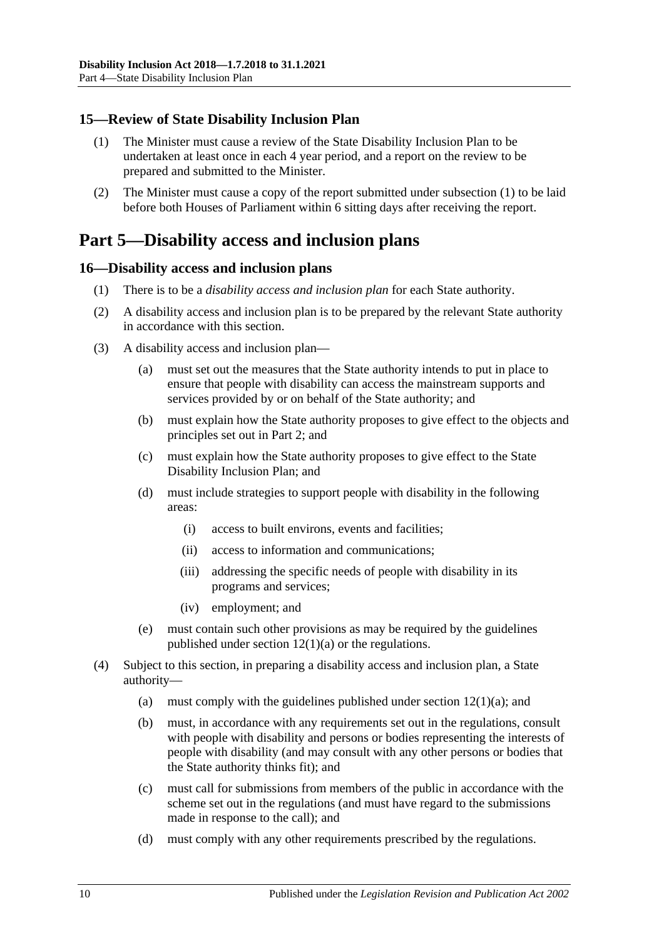### <span id="page-9-3"></span><span id="page-9-0"></span>**15—Review of State Disability Inclusion Plan**

- (1) The Minister must cause a review of the State Disability Inclusion Plan to be undertaken at least once in each 4 year period, and a report on the review to be prepared and submitted to the Minister.
- (2) The Minister must cause a copy of the report submitted under [subsection](#page-9-3) (1) to be laid before both Houses of Parliament within 6 sitting days after receiving the report.

## <span id="page-9-1"></span>**Part 5—Disability access and inclusion plans**

### <span id="page-9-2"></span>**16—Disability access and inclusion plans**

- (1) There is to be a *disability access and inclusion plan* for each State authority.
- (2) A disability access and inclusion plan is to be prepared by the relevant State authority in accordance with this section.
- (3) A disability access and inclusion plan—
	- (a) must set out the measures that the State authority intends to put in place to ensure that people with disability can access the mainstream supports and services provided by or on behalf of the State authority; and
	- (b) must explain how the State authority proposes to give effect to the objects and principles set out in [Part](#page-3-3) 2; and
	- (c) must explain how the State authority proposes to give effect to the State Disability Inclusion Plan; and
	- (d) must include strategies to support people with disability in the following areas:
		- (i) access to built environs, events and facilities;
		- (ii) access to information and communications;
		- (iii) addressing the specific needs of people with disability in its programs and services;
		- (iv) employment; and
	- (e) must contain such other provisions as may be required by the guidelines published under section  $12(1)(a)$  or the regulations.
- (4) Subject to this section, in preparing a disability access and inclusion plan, a State authority—
	- (a) must comply with the guidelines published under section  $12(1)(a)$ ; and
	- (b) must, in accordance with any requirements set out in the regulations, consult with people with disability and persons or bodies representing the interests of people with disability (and may consult with any other persons or bodies that the State authority thinks fit); and
	- (c) must call for submissions from members of the public in accordance with the scheme set out in the regulations (and must have regard to the submissions made in response to the call); and
	- (d) must comply with any other requirements prescribed by the regulations.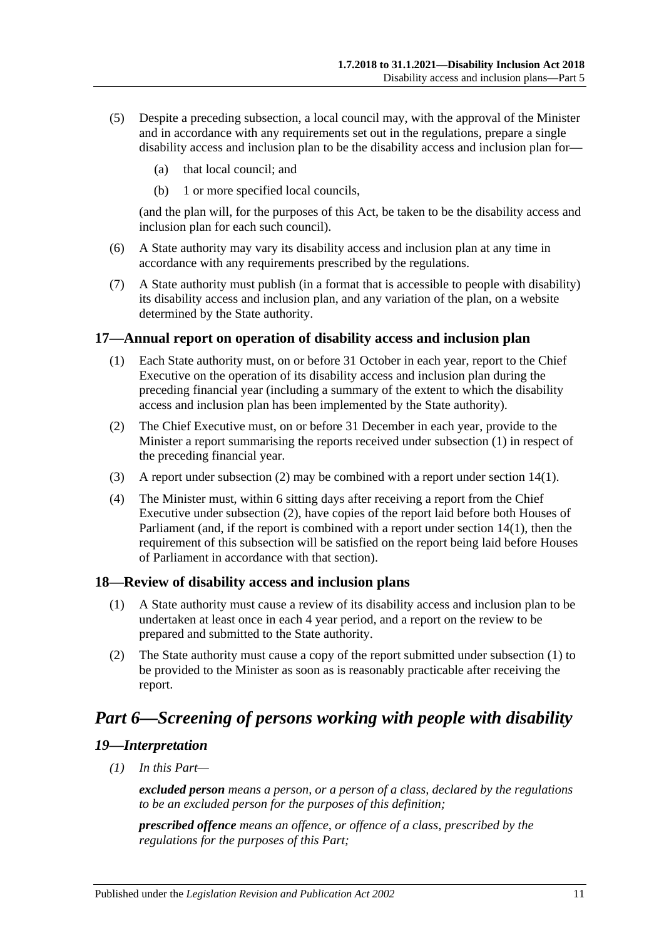- (5) Despite a preceding subsection, a local council may, with the approval of the Minister and in accordance with any requirements set out in the regulations, prepare a single disability access and inclusion plan to be the disability access and inclusion plan for—
	- (a) that local council; and
	- (b) 1 or more specified local councils,

(and the plan will, for the purposes of this Act, be taken to be the disability access and inclusion plan for each such council).

- (6) A State authority may vary its disability access and inclusion plan at any time in accordance with any requirements prescribed by the regulations.
- (7) A State authority must publish (in a format that is accessible to people with disability) its disability access and inclusion plan, and any variation of the plan, on a website determined by the State authority.

### <span id="page-10-4"></span><span id="page-10-0"></span>**17—Annual report on operation of disability access and inclusion plan**

- (1) Each State authority must, on or before 31 October in each year, report to the Chief Executive on the operation of its disability access and inclusion plan during the preceding financial year (including a summary of the extent to which the disability access and inclusion plan has been implemented by the State authority).
- <span id="page-10-5"></span>(2) The Chief Executive must, on or before 31 December in each year, provide to the Minister a report summarising the reports received under [subsection](#page-10-4) (1) in respect of the preceding financial year.
- (3) A report under [subsection](#page-10-5) (2) may be combined with a report under [section](#page-8-1) 14(1).
- (4) The Minister must, within 6 sitting days after receiving a report from the Chief Executive under [subsection](#page-10-5) (2), have copies of the report laid before both Houses of Parliament (and, if the report is combined with a report under [section](#page-8-1) 14(1), then the requirement of this subsection will be satisfied on the report being laid before Houses of Parliament in accordance with that section).

#### <span id="page-10-6"></span><span id="page-10-1"></span>**18—Review of disability access and inclusion plans**

- (1) A State authority must cause a review of its disability access and inclusion plan to be undertaken at least once in each 4 year period, and a report on the review to be prepared and submitted to the State authority.
- (2) The State authority must cause a copy of the report submitted under [subsection](#page-10-6) (1) to be provided to the Minister as soon as is reasonably practicable after receiving the report.

## <span id="page-10-2"></span>*Part 6—Screening of persons working with people with disability*

#### <span id="page-10-3"></span>*19—Interpretation*

*(1) In this Part—*

*excluded person means a person, or a person of a class, declared by the regulations to be an excluded person for the purposes of this definition;*

*prescribed offence means an offence, or offence of a class, prescribed by the regulations for the purposes of this Part;*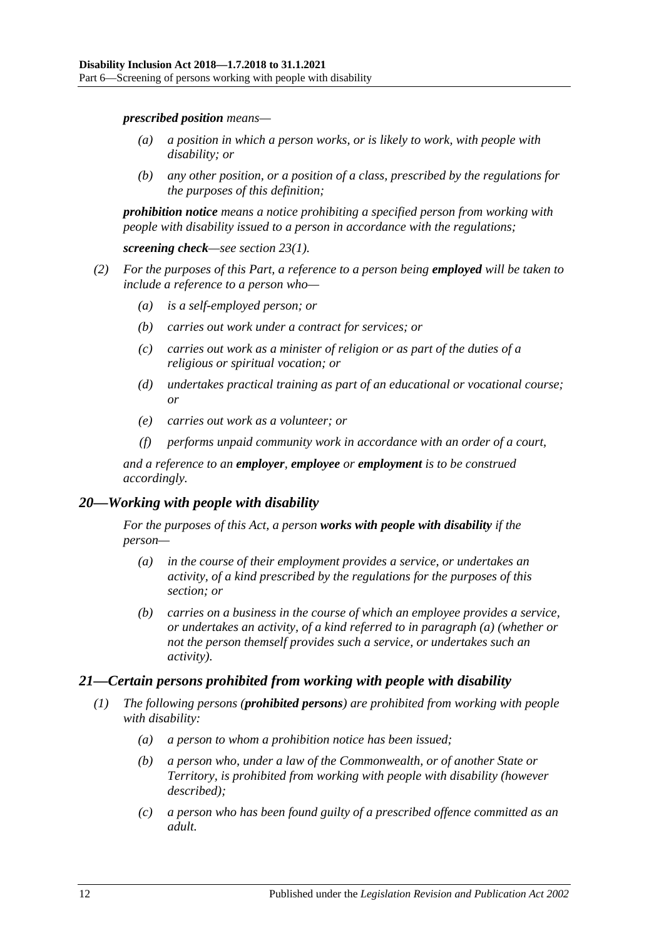*prescribed position means—*

- *(a) a position in which a person works, or is likely to work, with people with disability; or*
- *(b) any other position, or a position of a class, prescribed by the regulations for the purposes of this definition;*

*prohibition notice means a notice prohibiting a specified person from working with people with disability issued to a person in accordance with the regulations;*

*screening check—see [section](#page-12-2) 23(1).*

- *(2) For the purposes of this Part, a reference to a person being employed will be taken to include a reference to a person who—*
	- *(a) is a self-employed person; or*
	- *(b) carries out work under a contract for services; or*
	- *(c) carries out work as a minister of religion or as part of the duties of a religious or spiritual vocation; or*
	- *(d) undertakes practical training as part of an educational or vocational course; or*
	- *(e) carries out work as a volunteer; or*
	- *(f) performs unpaid community work in accordance with an order of a court,*

*and a reference to an employer, employee or employment is to be construed accordingly.*

### <span id="page-11-2"></span><span id="page-11-0"></span>*20—Working with people with disability*

*For the purposes of this Act, a person works with people with disability if the person—*

- *(a) in the course of their employment provides a service, or undertakes an activity, of a kind prescribed by the regulations for the purposes of this section; or*
- *(b) carries on a business in the course of which an employee provides a service, or undertakes an activity, of a kind referred to in [paragraph](#page-11-2) (a) (whether or not the person themself provides such a service, or undertakes such an activity).*

### <span id="page-11-4"></span><span id="page-11-1"></span>*21—Certain persons prohibited from working with people with disability*

- <span id="page-11-3"></span>*(1) The following persons (prohibited persons) are prohibited from working with people with disability:*
	- *(a) a person to whom a prohibition notice has been issued;*
	- *(b) a person who, under a law of the Commonwealth, or of another State or Territory, is prohibited from working with people with disability (however described);*
	- *(c) a person who has been found guilty of a prescribed offence committed as an adult.*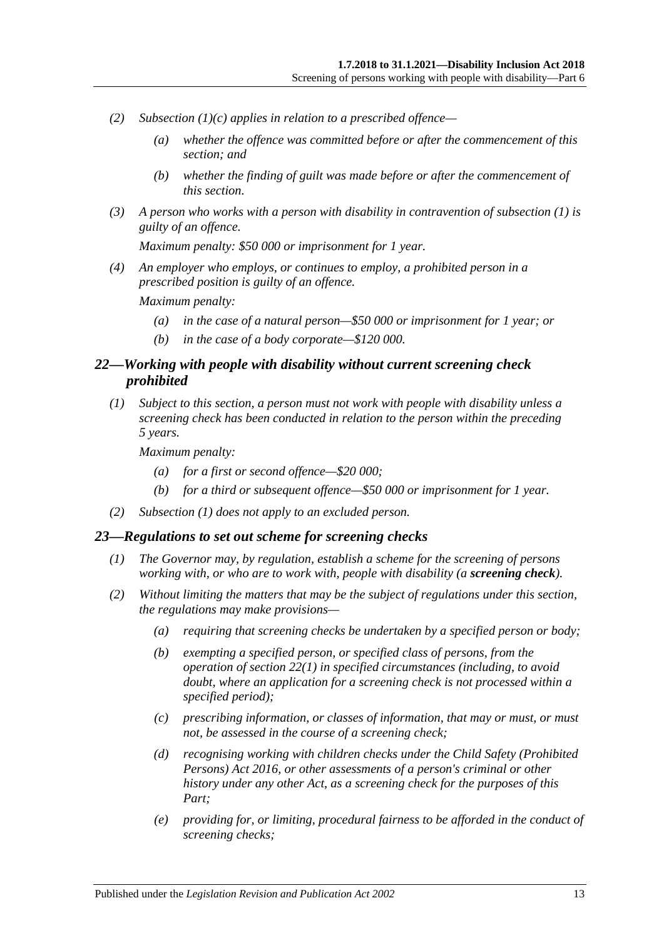- *(2) [Subsection](#page-11-3) (1)(c) applies in relation to a prescribed offence—*
	- *(a) whether the offence was committed before or after the commencement of this section; and*
	- *(b) whether the finding of guilt was made before or after the commencement of this section.*
- *(3) A person who works with a person with disability in contravention of [subsection](#page-11-4) (1) is guilty of an offence.*

*Maximum penalty: \$50 000 or imprisonment for 1 year.*

*(4) An employer who employs, or continues to employ, a prohibited person in a prescribed position is guilty of an offence.*

*Maximum penalty:* 

- *(a) in the case of a natural person—\$50 000 or imprisonment for 1 year; or*
- *(b) in the case of a body corporate—\$120 000.*

### <span id="page-12-0"></span>*22—Working with people with disability without current screening check prohibited*

<span id="page-12-3"></span>*(1) Subject to this section, a person must not work with people with disability unless a screening check has been conducted in relation to the person within the preceding 5 years.*

*Maximum penalty:* 

- *(a) for a first or second offence—\$20 000;*
- *(b) for a third or subsequent offence—\$50 000 or imprisonment for 1 year.*
- *(2) [Subsection](#page-12-3) (1) does not apply to an excluded person.*

#### <span id="page-12-2"></span><span id="page-12-1"></span>*23—Regulations to set out scheme for screening checks*

- *(1) The Governor may, by regulation, establish a scheme for the screening of persons working with, or who are to work with, people with disability (a screening check).*
- *(2) Without limiting the matters that may be the subject of regulations under this section, the regulations may make provisions—*
	- *(a) requiring that screening checks be undertaken by a specified person or body;*
	- *(b) exempting a specified person, or specified class of persons, from the operation of [section](#page-12-3) 22(1) in specified circumstances (including, to avoid doubt, where an application for a screening check is not processed within a specified period);*
	- *(c) prescribing information, or classes of information, that may or must, or must not, be assessed in the course of a screening check;*
	- *(d) recognising working with children checks under the [Child Safety \(Prohibited](http://www.legislation.sa.gov.au/index.aspx?action=legref&type=act&legtitle=Child%20Safety%20(Prohibited%20Persons)%20Act%202016)  [Persons\) Act](http://www.legislation.sa.gov.au/index.aspx?action=legref&type=act&legtitle=Child%20Safety%20(Prohibited%20Persons)%20Act%202016) 2016, or other assessments of a person's criminal or other history under any other Act, as a screening check for the purposes of this Part;*
	- *(e) providing for, or limiting, procedural fairness to be afforded in the conduct of screening checks;*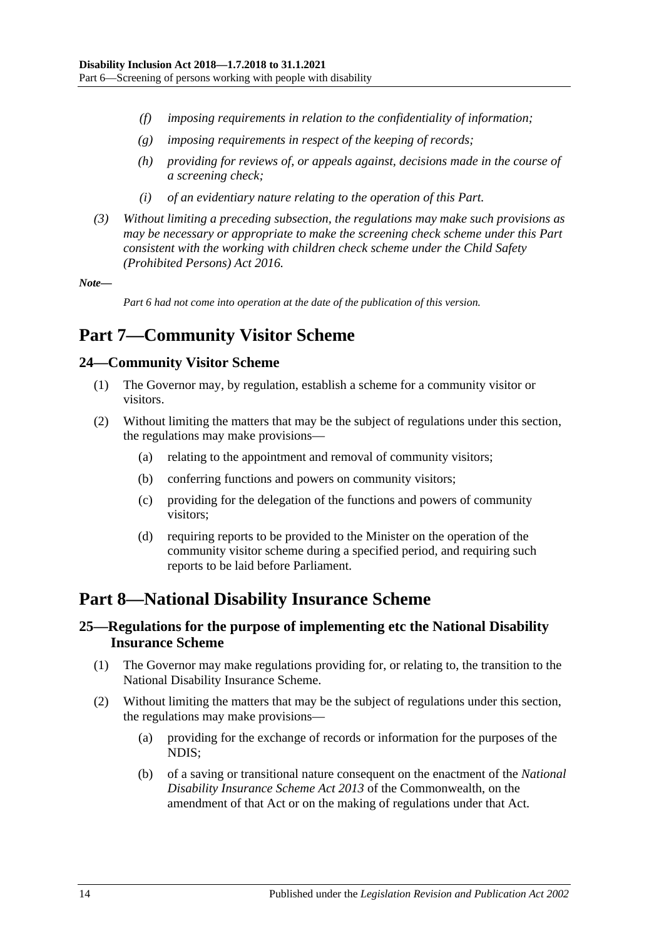- *(f) imposing requirements in relation to the confidentiality of information;*
- *(g) imposing requirements in respect of the keeping of records;*
- *(h) providing for reviews of, or appeals against, decisions made in the course of a screening check;*
- *(i) of an evidentiary nature relating to the operation of this Part.*
- *(3) Without limiting a preceding subsection, the regulations may make such provisions as may be necessary or appropriate to make the screening check scheme under this Part consistent with the working with children check scheme under the [Child Safety](http://www.legislation.sa.gov.au/index.aspx?action=legref&type=act&legtitle=Child%20Safety%20(Prohibited%20Persons)%20Act%202016)  [\(Prohibited Persons\) Act](http://www.legislation.sa.gov.au/index.aspx?action=legref&type=act&legtitle=Child%20Safety%20(Prohibited%20Persons)%20Act%202016) 2016.*

#### *Note—*

*Part 6 had not come into operation at the date of the publication of this version.*

## <span id="page-13-0"></span>**Part 7—Community Visitor Scheme**

### <span id="page-13-1"></span>**24—Community Visitor Scheme**

- (1) The Governor may, by regulation, establish a scheme for a community visitor or visitors.
- (2) Without limiting the matters that may be the subject of regulations under this section, the regulations may make provisions—
	- (a) relating to the appointment and removal of community visitors;
	- (b) conferring functions and powers on community visitors;
	- (c) providing for the delegation of the functions and powers of community visitors;
	- (d) requiring reports to be provided to the Minister on the operation of the community visitor scheme during a specified period, and requiring such reports to be laid before Parliament.

## <span id="page-13-2"></span>**Part 8—National Disability Insurance Scheme**

### <span id="page-13-3"></span>**25—Regulations for the purpose of implementing etc the National Disability Insurance Scheme**

- (1) The Governor may make regulations providing for, or relating to, the transition to the National Disability Insurance Scheme.
- (2) Without limiting the matters that may be the subject of regulations under this section, the regulations may make provisions—
	- (a) providing for the exchange of records or information for the purposes of the NDIS;
	- (b) of a saving or transitional nature consequent on the enactment of the *National Disability Insurance Scheme Act 2013* of the Commonwealth, on the amendment of that Act or on the making of regulations under that Act.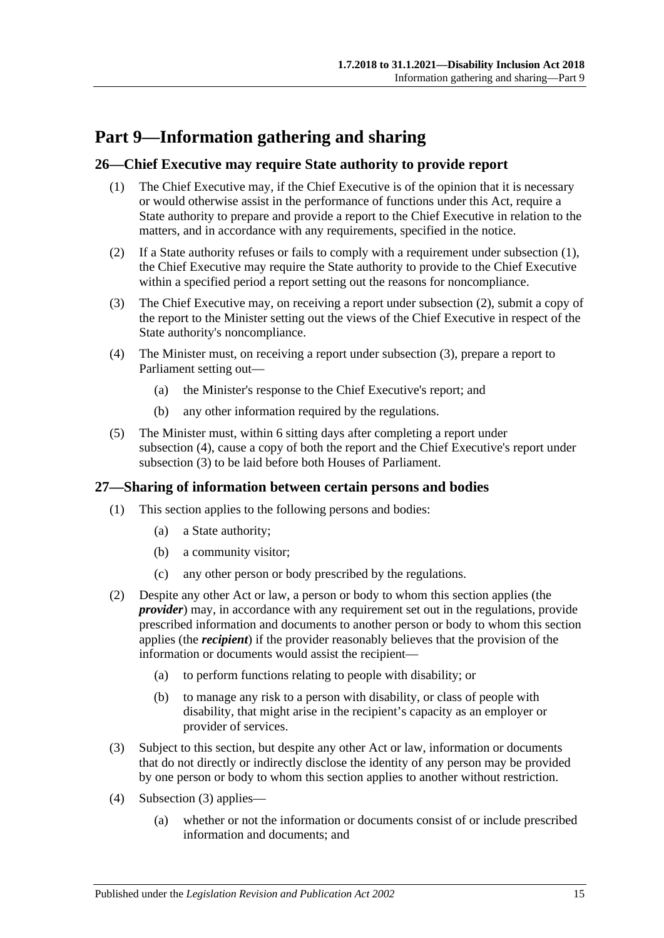## <span id="page-14-0"></span>**Part 9—Information gathering and sharing**

### <span id="page-14-3"></span><span id="page-14-1"></span>**26—Chief Executive may require State authority to provide report**

- (1) The Chief Executive may, if the Chief Executive is of the opinion that it is necessary or would otherwise assist in the performance of functions under this Act, require a State authority to prepare and provide a report to the Chief Executive in relation to the matters, and in accordance with any requirements, specified in the notice.
- <span id="page-14-4"></span>(2) If a State authority refuses or fails to comply with a requirement under [subsection](#page-14-3) (1), the Chief Executive may require the State authority to provide to the Chief Executive within a specified period a report setting out the reasons for noncompliance.
- <span id="page-14-5"></span>(3) The Chief Executive may, on receiving a report under [subsection](#page-14-4) (2), submit a copy of the report to the Minister setting out the views of the Chief Executive in respect of the State authority's noncompliance.
- <span id="page-14-6"></span>(4) The Minister must, on receiving a report under [subsection](#page-14-5) (3), prepare a report to Parliament setting out—
	- (a) the Minister's response to the Chief Executive's report; and
	- (b) any other information required by the regulations.
- (5) The Minister must, within 6 sitting days after completing a report under [subsection](#page-14-6) (4), cause a copy of both the report and the Chief Executive's report under [subsection](#page-14-5) (3) to be laid before both Houses of Parliament.

### <span id="page-14-2"></span>**27—Sharing of information between certain persons and bodies**

- (1) This section applies to the following persons and bodies:
	- (a) a State authority;
	- (b) a community visitor;
	- (c) any other person or body prescribed by the regulations.
- (2) Despite any other Act or law, a person or body to whom this section applies (the *provider*) may, in accordance with any requirement set out in the regulations, provide prescribed information and documents to another person or body to whom this section applies (the *recipient*) if the provider reasonably believes that the provision of the information or documents would assist the recipient—
	- (a) to perform functions relating to people with disability; or
	- (b) to manage any risk to a person with disability, or class of people with disability, that might arise in the recipient's capacity as an employer or provider of services.
- <span id="page-14-7"></span>(3) Subject to this section, but despite any other Act or law, information or documents that do not directly or indirectly disclose the identity of any person may be provided by one person or body to whom this section applies to another without restriction.
- (4) [Subsection](#page-14-7) (3) applies—
	- (a) whether or not the information or documents consist of or include prescribed information and documents; and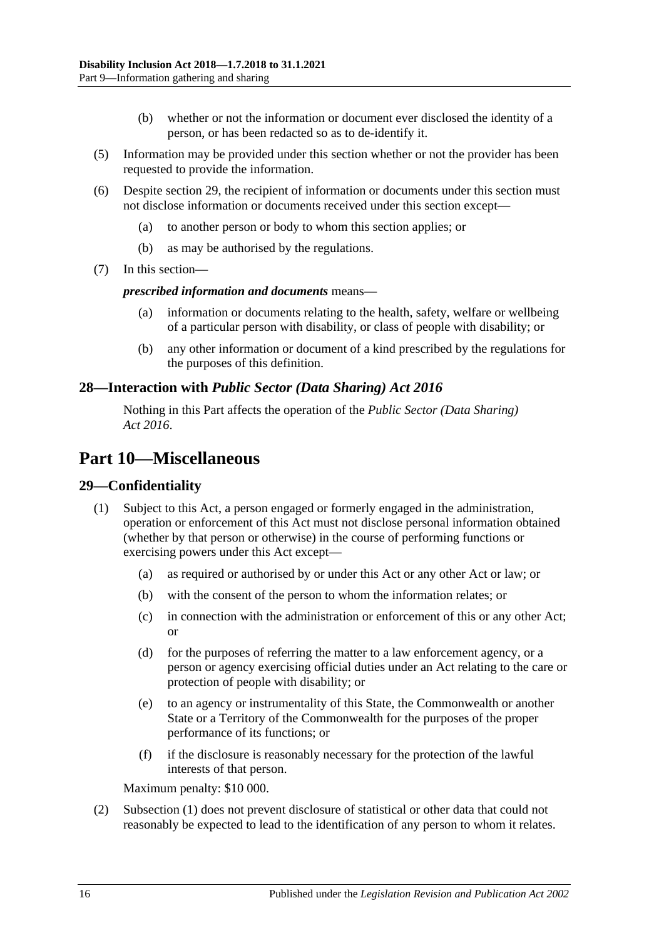- (b) whether or not the information or document ever disclosed the identity of a person, or has been redacted so as to de-identify it.
- (5) Information may be provided under this section whether or not the provider has been requested to provide the information.
- (6) Despite [section](#page-15-2) 29, the recipient of information or documents under this section must not disclose information or documents received under this section except—
	- (a) to another person or body to whom this section applies; or
	- (b) as may be authorised by the regulations.
- (7) In this section—

#### *prescribed information and documents* means—

- (a) information or documents relating to the health, safety, welfare or wellbeing of a particular person with disability, or class of people with disability; or
- (b) any other information or document of a kind prescribed by the regulations for the purposes of this definition.

### <span id="page-15-0"></span>**28—Interaction with** *Public Sector (Data Sharing) Act 2016*

Nothing in this Part affects the operation of the *[Public Sector \(Data Sharing\)](http://www.legislation.sa.gov.au/index.aspx?action=legref&type=act&legtitle=Public%20Sector%20(Data%20Sharing)%20Act%202016)  Act [2016](http://www.legislation.sa.gov.au/index.aspx?action=legref&type=act&legtitle=Public%20Sector%20(Data%20Sharing)%20Act%202016)*.

## <span id="page-15-1"></span>**Part 10—Miscellaneous**

### <span id="page-15-3"></span><span id="page-15-2"></span>**29—Confidentiality**

- (1) Subject to this Act, a person engaged or formerly engaged in the administration, operation or enforcement of this Act must not disclose personal information obtained (whether by that person or otherwise) in the course of performing functions or exercising powers under this Act except—
	- (a) as required or authorised by or under this Act or any other Act or law; or
	- (b) with the consent of the person to whom the information relates; or
	- (c) in connection with the administration or enforcement of this or any other Act; or
	- (d) for the purposes of referring the matter to a law enforcement agency, or a person or agency exercising official duties under an Act relating to the care or protection of people with disability; or
	- (e) to an agency or instrumentality of this State, the Commonwealth or another State or a Territory of the Commonwealth for the purposes of the proper performance of its functions; or
	- (f) if the disclosure is reasonably necessary for the protection of the lawful interests of that person.

Maximum penalty: \$10 000.

(2) [Subsection](#page-15-3) (1) does not prevent disclosure of statistical or other data that could not reasonably be expected to lead to the identification of any person to whom it relates.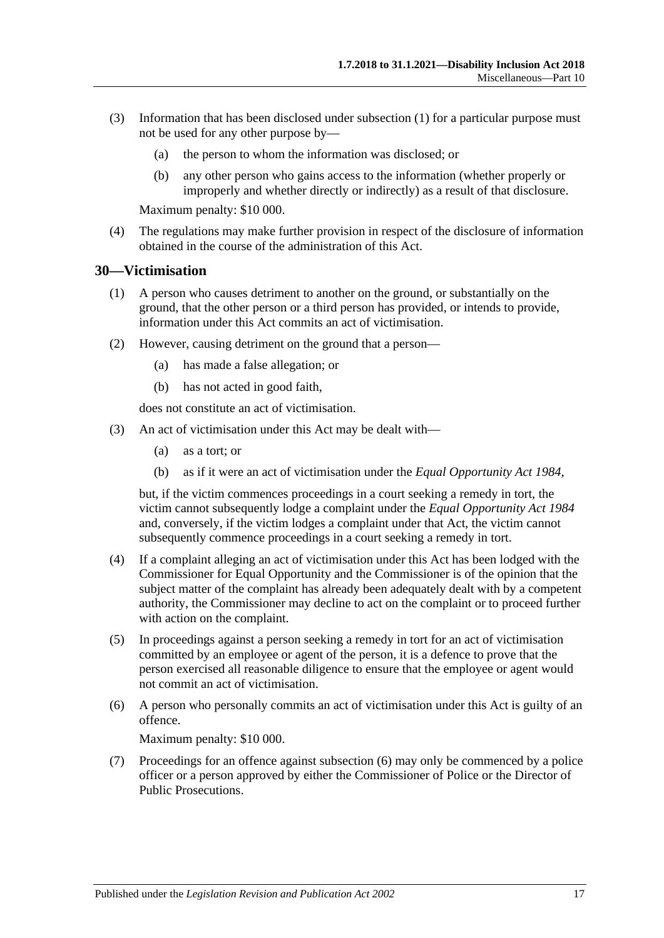- (3) Information that has been disclosed under [subsection](#page-15-3) (1) for a particular purpose must not be used for any other purpose by—
	- (a) the person to whom the information was disclosed; or
	- (b) any other person who gains access to the information (whether properly or improperly and whether directly or indirectly) as a result of that disclosure.

Maximum penalty: \$10 000.

(4) The regulations may make further provision in respect of the disclosure of information obtained in the course of the administration of this Act.

#### <span id="page-16-0"></span>**30—Victimisation**

- (1) A person who causes detriment to another on the ground, or substantially on the ground, that the other person or a third person has provided, or intends to provide, information under this Act commits an act of victimisation.
- (2) However, causing detriment on the ground that a person—
	- (a) has made a false allegation; or
	- (b) has not acted in good faith,

does not constitute an act of victimisation.

- (3) An act of victimisation under this Act may be dealt with—
	- (a) as a tort; or
	- (b) as if it were an act of victimisation under the *[Equal Opportunity Act](http://www.legislation.sa.gov.au/index.aspx?action=legref&type=act&legtitle=Equal%20Opportunity%20Act%201984) 1984*,

but, if the victim commences proceedings in a court seeking a remedy in tort, the victim cannot subsequently lodge a complaint under the *[Equal Opportunity Act](http://www.legislation.sa.gov.au/index.aspx?action=legref&type=act&legtitle=Equal%20Opportunity%20Act%201984) 1984* and, conversely, if the victim lodges a complaint under that Act, the victim cannot subsequently commence proceedings in a court seeking a remedy in tort.

- (4) If a complaint alleging an act of victimisation under this Act has been lodged with the Commissioner for Equal Opportunity and the Commissioner is of the opinion that the subject matter of the complaint has already been adequately dealt with by a competent authority, the Commissioner may decline to act on the complaint or to proceed further with action on the complaint.
- (5) In proceedings against a person seeking a remedy in tort for an act of victimisation committed by an employee or agent of the person, it is a defence to prove that the person exercised all reasonable diligence to ensure that the employee or agent would not commit an act of victimisation.
- <span id="page-16-1"></span>(6) A person who personally commits an act of victimisation under this Act is guilty of an offence.

Maximum penalty: \$10 000.

(7) Proceedings for an offence against [subsection](#page-16-1) (6) may only be commenced by a police officer or a person approved by either the Commissioner of Police or the Director of Public Prosecutions.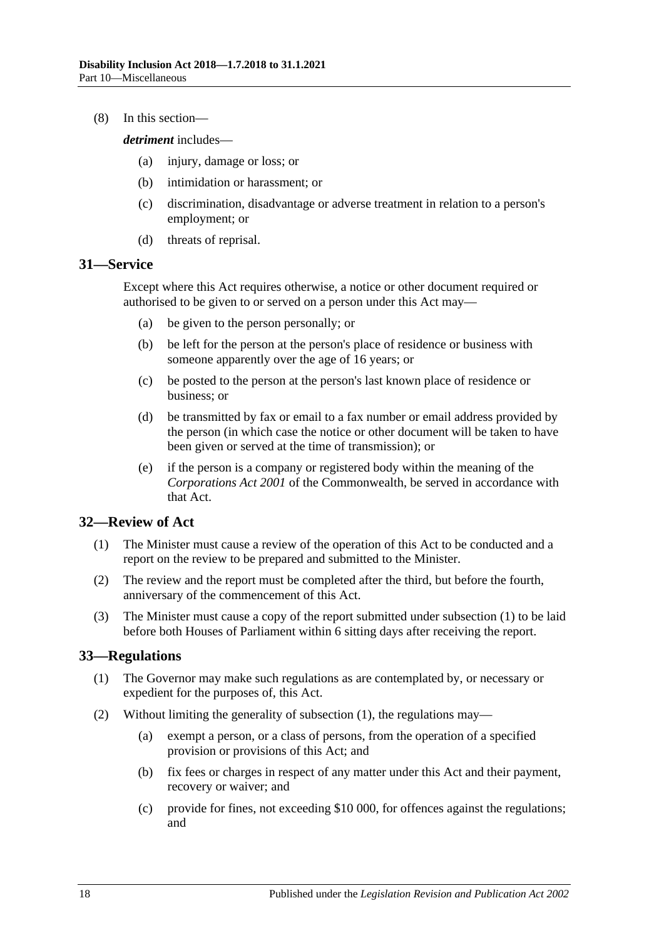(8) In this section—

*detriment* includes—

- (a) injury, damage or loss; or
- (b) intimidation or harassment; or
- (c) discrimination, disadvantage or adverse treatment in relation to a person's employment; or
- (d) threats of reprisal.

### <span id="page-17-0"></span>**31—Service**

Except where this Act requires otherwise, a notice or other document required or authorised to be given to or served on a person under this Act may—

- (a) be given to the person personally; or
- (b) be left for the person at the person's place of residence or business with someone apparently over the age of 16 years; or
- (c) be posted to the person at the person's last known place of residence or business; or
- (d) be transmitted by fax or email to a fax number or email address provided by the person (in which case the notice or other document will be taken to have been given or served at the time of transmission); or
- (e) if the person is a company or registered body within the meaning of the *Corporations Act 2001* of the Commonwealth, be served in accordance with that Act.

### <span id="page-17-3"></span><span id="page-17-1"></span>**32—Review of Act**

- (1) The Minister must cause a review of the operation of this Act to be conducted and a report on the review to be prepared and submitted to the Minister.
- (2) The review and the report must be completed after the third, but before the fourth, anniversary of the commencement of this Act.
- (3) The Minister must cause a copy of the report submitted under [subsection](#page-17-3) (1) to be laid before both Houses of Parliament within 6 sitting days after receiving the report.

#### <span id="page-17-4"></span><span id="page-17-2"></span>**33—Regulations**

- (1) The Governor may make such regulations as are contemplated by, or necessary or expedient for the purposes of, this Act.
- (2) Without limiting the generality of [subsection](#page-17-4) (1), the regulations may—
	- (a) exempt a person, or a class of persons, from the operation of a specified provision or provisions of this Act; and
	- (b) fix fees or charges in respect of any matter under this Act and their payment, recovery or waiver; and
	- (c) provide for fines, not exceeding \$10 000, for offences against the regulations; and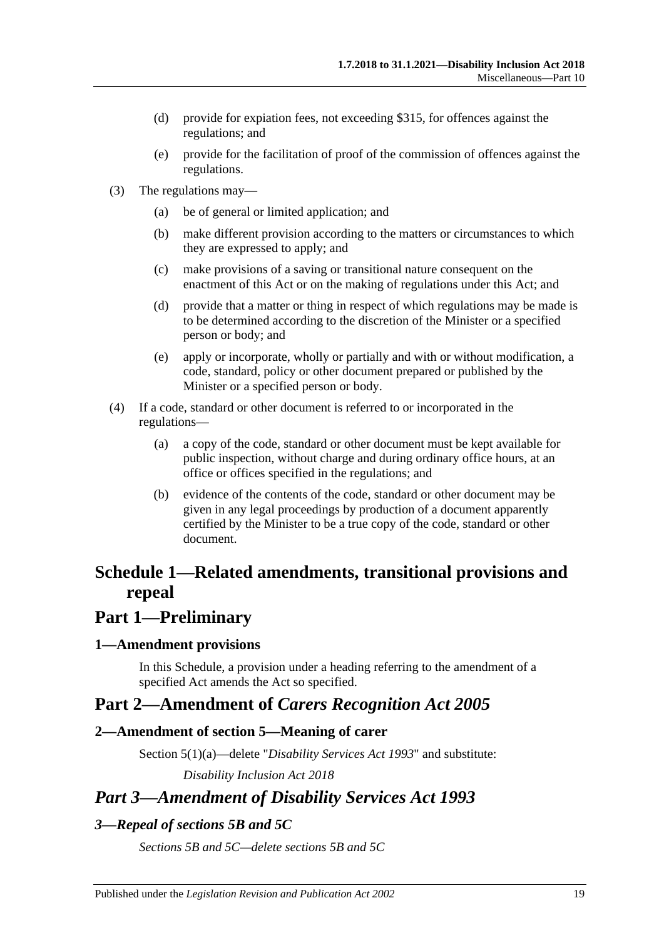- (d) provide for expiation fees, not exceeding \$315, for offences against the regulations; and
- (e) provide for the facilitation of proof of the commission of offences against the regulations.
- (3) The regulations may—
	- (a) be of general or limited application; and
	- (b) make different provision according to the matters or circumstances to which they are expressed to apply; and
	- (c) make provisions of a saving or transitional nature consequent on the enactment of this Act or on the making of regulations under this Act; and
	- (d) provide that a matter or thing in respect of which regulations may be made is to be determined according to the discretion of the Minister or a specified person or body; and
	- (e) apply or incorporate, wholly or partially and with or without modification, a code, standard, policy or other document prepared or published by the Minister or a specified person or body.
- (4) If a code, standard or other document is referred to or incorporated in the regulations—
	- (a) a copy of the code, standard or other document must be kept available for public inspection, without charge and during ordinary office hours, at an office or offices specified in the regulations; and
	- (b) evidence of the contents of the code, standard or other document may be given in any legal proceedings by production of a document apparently certified by the Minister to be a true copy of the code, standard or other document.

## <span id="page-18-0"></span>**Schedule 1—Related amendments, transitional provisions and repeal**

## **Part 1—Preliminary**

#### <span id="page-18-1"></span>**1—Amendment provisions**

In this Schedule, a provision under a heading referring to the amendment of a specified Act amends the Act so specified.

## **Part 2—Amendment of** *Carers Recognition Act 2005*

### <span id="page-18-2"></span>**2—Amendment of section 5—Meaning of carer**

Section 5(1)(a)—delete "*[Disability Services Act](http://www.legislation.sa.gov.au/index.aspx?action=legref&type=act&legtitle=Disability%20Services%20Act%201993) 1993*" and substitute:

*[Disability Inclusion Act](http://www.legislation.sa.gov.au/index.aspx?action=legref&type=act&legtitle=Disability%20Inclusion%20Act%202018) 2018*

## *Part 3—Amendment of Disability Services Act 1993*

### <span id="page-18-3"></span>*3—Repeal of sections 5B and 5C*

*Sections 5B and 5C—delete sections 5B and 5C*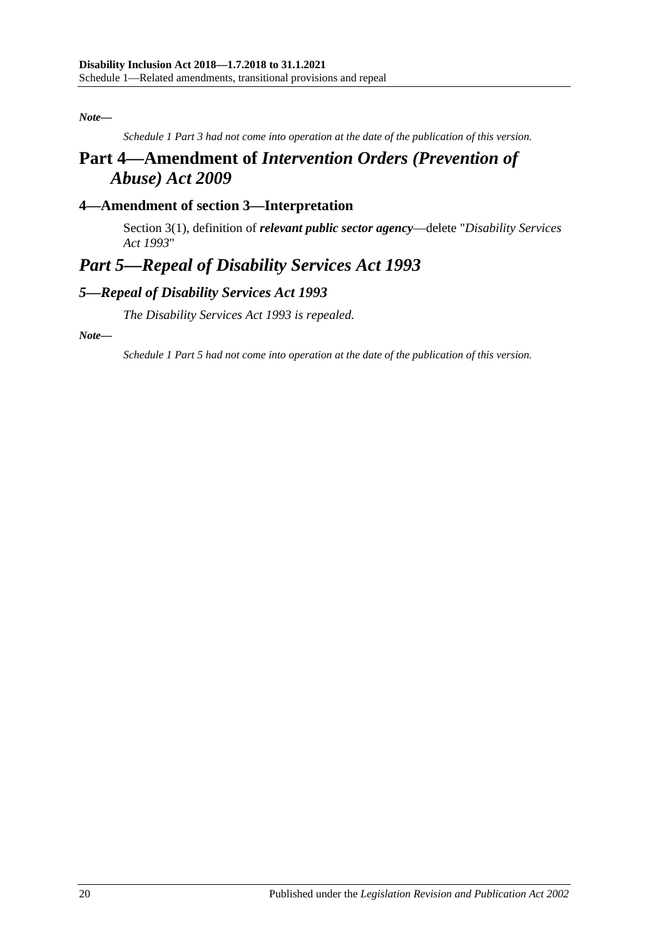#### *Note—*

*Schedule 1 Part 3 had not come into operation at the date of the publication of this version.*

## **Part 4—Amendment of** *Intervention Orders (Prevention of Abuse) Act 2009*

## <span id="page-19-0"></span>**4—Amendment of section 3—Interpretation**

Section 3(1), definition of *relevant public sector agency*—delete "*[Disability Services](http://www.legislation.sa.gov.au/index.aspx?action=legref&type=act&legtitle=Disability%20Services%20Act%201993)  Act [1993](http://www.legislation.sa.gov.au/index.aspx?action=legref&type=act&legtitle=Disability%20Services%20Act%201993)*"

## *Part 5—Repeal of Disability Services Act 1993*

### <span id="page-19-1"></span>*5—Repeal of Disability Services Act 1993*

*The [Disability Services Act](http://www.legislation.sa.gov.au/index.aspx?action=legref&type=act&legtitle=Disability%20Services%20Act%201993) 1993 is repealed.*

*Note—*

*Schedule 1 Part 5 had not come into operation at the date of the publication of this version.*